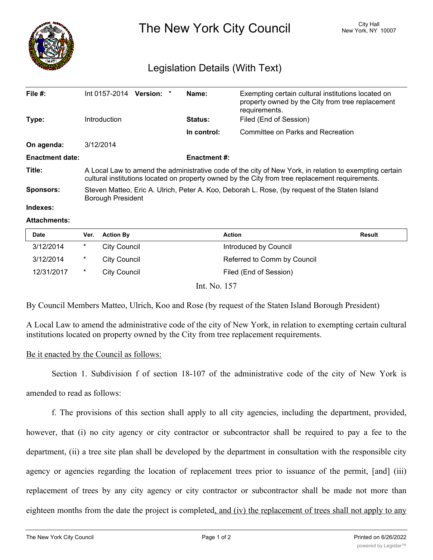

The New York City Council New York, NY 10007

## Legislation Details (With Text)

| File $#$ :             | Int 0157-2014                                                                                                                                                                                             | Version: * | Name:               | Exempting certain cultural institutions located on<br>property owned by the City from tree replacement<br>requirements. |  |  |
|------------------------|-----------------------------------------------------------------------------------------------------------------------------------------------------------------------------------------------------------|------------|---------------------|-------------------------------------------------------------------------------------------------------------------------|--|--|
| Type:                  | <b>Introduction</b>                                                                                                                                                                                       |            | <b>Status:</b>      | Filed (End of Session)                                                                                                  |  |  |
|                        |                                                                                                                                                                                                           |            | In control:         | Committee on Parks and Recreation                                                                                       |  |  |
| On agenda:             | 3/12/2014                                                                                                                                                                                                 |            |                     |                                                                                                                         |  |  |
| <b>Enactment date:</b> |                                                                                                                                                                                                           |            | <b>Enactment #:</b> |                                                                                                                         |  |  |
| Title:                 | A Local Law to amend the administrative code of the city of New York, in relation to exempting certain<br>cultural institutions located on property owned by the City from tree replacement requirements. |            |                     |                                                                                                                         |  |  |
| <b>Sponsors:</b>       | Steven Matteo, Eric A. Ulrich, Peter A. Koo, Deborah L. Rose, (by request of the Staten Island<br>Borough President                                                                                       |            |                     |                                                                                                                         |  |  |
| Indexes:               |                                                                                                                                                                                                           |            |                     |                                                                                                                         |  |  |

## **Attachments:**

| <b>Date</b> | Ver.   | <b>Action By</b>    | <b>Action</b>               | <b>Result</b> |
|-------------|--------|---------------------|-----------------------------|---------------|
| 3/12/2014   | $\ast$ | <b>City Council</b> | Introduced by Council       |               |
| 3/12/2014   | $\ast$ | City Council        | Referred to Comm by Council |               |
| 12/31/2017  | $\ast$ | City Council        | Filed (End of Session)      |               |
|             |        |                     | Int. No. 157                |               |

By Council Members Matteo, Ulrich, Koo and Rose (by request of the Staten Island Borough President)

A Local Law to amend the administrative code of the city of New York, in relation to exempting certain cultural institutions located on property owned by the City from tree replacement requirements.

## Be it enacted by the Council as follows:

Section 1. Subdivision f of section 18-107 of the administrative code of the city of New York is

amended to read as follows:

f. The provisions of this section shall apply to all city agencies, including the department, provided, however, that (i) no city agency or city contractor or subcontractor shall be required to pay a fee to the department, (ii) a tree site plan shall be developed by the department in consultation with the responsible city agency or agencies regarding the location of replacement trees prior to issuance of the permit, [and] (iii) replacement of trees by any city agency or city contractor or subcontractor shall be made not more than eighteen months from the date the project is completed, and (iv) the replacement of trees shall not apply to any